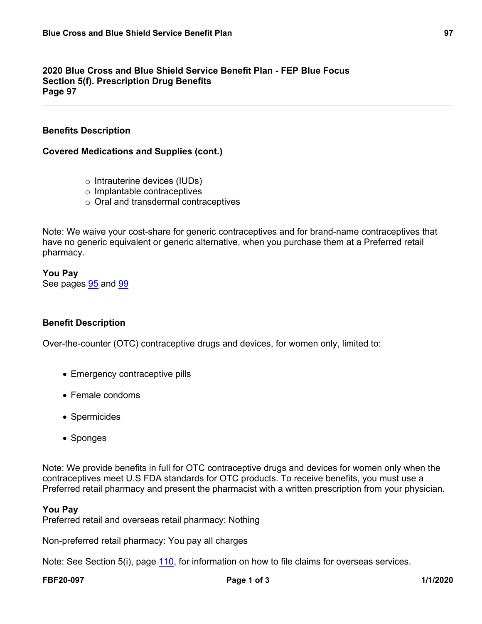## **2020 Blue Cross and Blue Shield Service Benefit Plan - FEP Blue Focus Section 5(f). Prescription Drug Benefits Page 97**

# **Benefits Description**

## **Covered Medications and Supplies (cont.)**

- o Intrauterine devices (IUDs)
- o Implantable contraceptives
- o Oral and transdermal contraceptives

Note: We waive your cost-share for generic contraceptives and for brand-name contraceptives that have no generic equivalent or generic alternative, when you purchase them at a Preferred retail pharmacy.

**You Pay** See pages [95](a8376318-ebd6-421f-be63-acf8c88376a1_da51508d-799d-4d00-937a-7b1337ffb505.html?v=32493) and [99](a8376318-ebd6-421f-be63-acf8c88376a1_24f974b9-73a0-4f3b-bde0-09fe7f159afc.html?v=32493)

### **Benefit Description**

Over-the-counter (OTC) contraceptive drugs and devices, for women only, limited to:

- Emergency contraceptive pills
- Female condoms
- Spermicides
- Sponges

Note: We provide benefits in full for OTC contraceptive drugs and devices for women only when the contraceptives meet U.S FDA standards for OTC products. To receive benefits, you must use a Preferred retail pharmacy and present the pharmacist with a written prescription from your physician.

#### **You Pay**

Preferred retail and overseas retail pharmacy: Nothing

Non-preferred retail pharmacy: You pay all charges

Note: See Section 5(i), page [110,](a8376318-ebd6-421f-be63-acf8c88376a1_d5e52b94-f307-44c1-a7bd-ff1eadcecad9.html?v=32493) for information on how to file claims for overseas services.